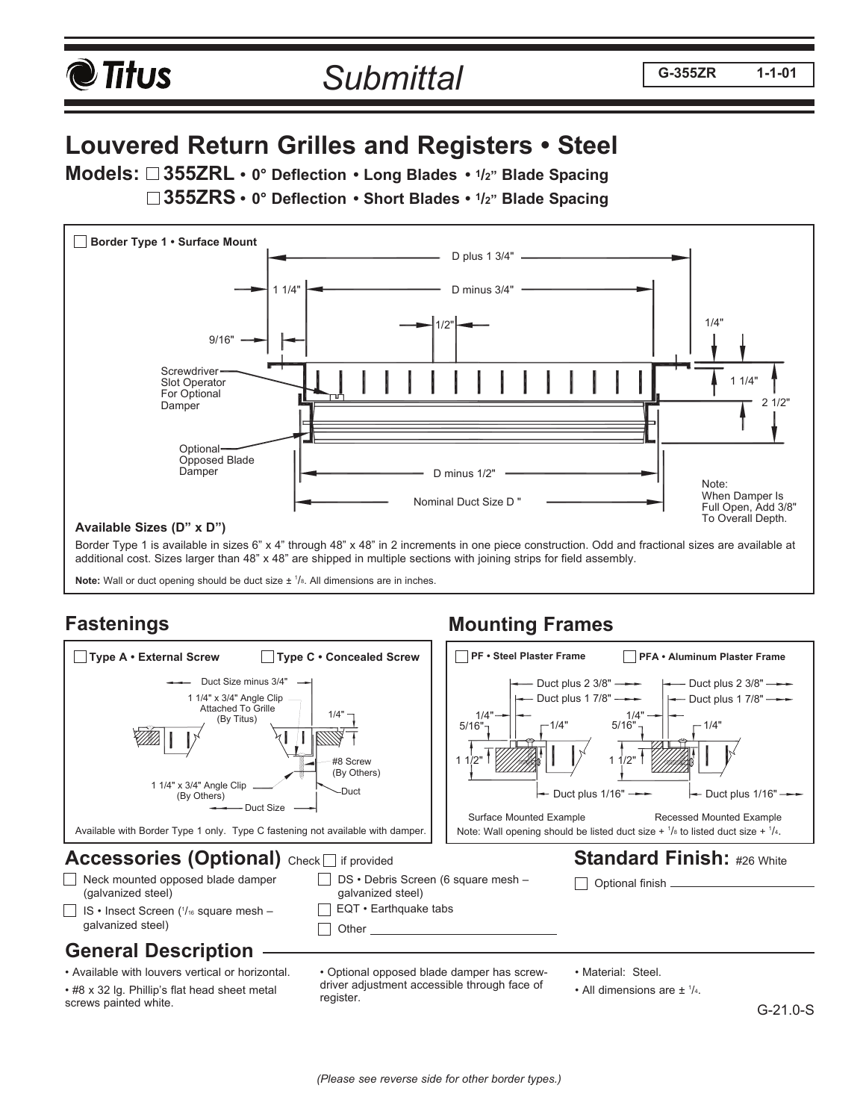

# **Louvered Return Grilles and Registers • Steel**

**Models: 355ZRL • 0° Deflection • Long Blades • 1/2" Blade Spacing** 

**355ZRS • 0° Deflection • Short Blades • 1/2" Blade Spacing**



additional cost. Sizes larger than 48" x 48" are shipped in multiple sections with joining strips for field assembly.

**Note:** Wall or duct opening should be duct size  $\pm$   $\frac{1}{s}$ . All dimensions are in inches.

## **Fastenings**

#### **Accessories (Optional)** Check if provided IS • Insect Screen (1/16 square mesh galvanized steel) DS • Debris Screen (6 square mesh – (galvanized steel) Optional finish galvanized steel)  $\Box$  Other Neck mounted opposed blade damper<br>(galvanized steel) **Standard Finish:** #26 White **Mounting Frames** 5/16" 1 1/2" 1/4" Duct plus 1/16" 1/4" 1/4" Duct plus 2 3/8" Duct plus 1 7/8" 1 1/2" 5/16" 1/4" Duct plus  $1/16" \rightarrow$ Duct plus 1 7/8" Duct plus 2 3/8" Duct Size Duct Duct Size minus 3/4" 1/4" 1 1/4" x 3/4" Angle Clip 1 1/4" x 3/4" Angle Clip Attached To Grille (By Others) (By Others) (By Titus) #8 Screw Available with Border Type 1 only. Type C fastening not available with damper. □ Type A • External Screw □ Type C • Concealed Screw | | DPF • Steel Plaster Frame DPFA • Aluminum Plaster Frame Note: Wall opening should be listed duct size  $+$   $\frac{1}{8}$  to listed duct size  $+$   $\frac{1}{4}$ . EQT • Earthquake tabs Surface Mounted Example Recessed Mounted Example

#### **General Description**

• Available with louvers vertical or horizontal.

• #8 x 32 lg. Phillip's flat head sheet metal screws painted white.

• Optional opposed blade damper has screwdriver adjustment accessible through face of register.

• Material: Steel.

• All dimensions are ±  $\frac{1}{4}$ .

G-21.0-S